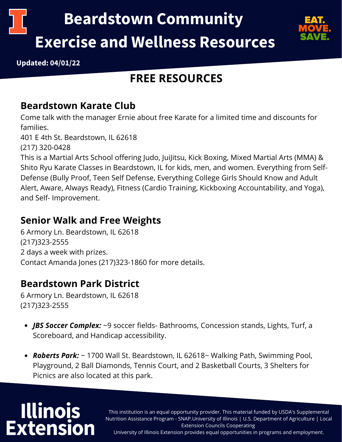



**Updated: 04/01/22**

## **FREE RESOURCES**

#### **Beardstown Karate Club**

Come talk with the manager Ernie about free Karate for a limited time and discounts for families.

401 E 4th St. Beardstown, IL 62618

(217) 320-0428

This is a Martial Arts School offering Judo, JuiJitsu, Kick Boxing, Mixed Martial Arts (MMA) & Shito Ryu Karate Classes in Beardstown, IL for kids, men, and women. Everything from Self-Defense (Bully Proof, Teen Self Defense, Everything College Girls Should Know and Adult Alert, Aware, Always Ready), Fitness (Cardio Training, Kickboxing Accountability, and Yoga), and Self- Improvement.

#### **Senior Walk and Free Weights**

6 Armory Ln. Beardstown, IL 62618 (217)323-2555 2 days a week with prizes. Contact Amanda Jones (217)323-1860 for more details.

#### **Beardstown Park District**

6 Armory Ln. Beardstown, IL 62618 (217)323-2555

- *JBS Soccer Complex:* ~9 soccer fields- Bathrooms, Concession stands, Lights, Turf, a Scoreboard, and Handicap accessibility.
- *Roberts Park:* ~ 1700 Wall St. Beardstown, IL 62618~ Walking Path, Swimming Pool, Playground, 2 Ball Diamonds, Tennis Court, and 2 Basketball Courts, 3 Shelters for Picnics are also located at this park.

# **Illinois Extension**

This institution is an equal opportunity provider. This material funded by USDA's Supplemental Nutrition Assistance Program - SNAP.University of Illinois | U.S. Department of Agriculture | Local Extension Councils Cooperating University of Illinois Extension provides equal opportunities in programs and employment.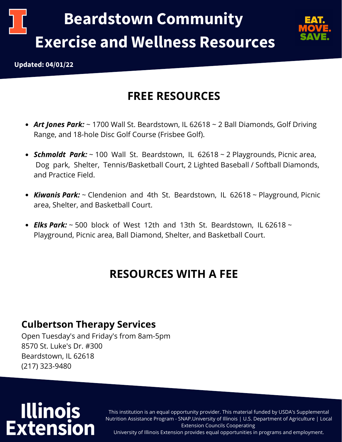



## **FREE RESOURCES**

- *Art Jones Park:* ~ 1700 Wall St. Beardstown, IL 62618 ~ 2 Ball Diamonds, Golf Driving Range, and 18-hole Disc Golf Course (Frisbee Golf).
- *Schmoldt Park:* ~ 100 Wall St. Beardstown, IL 62618 ~ 2 Playgrounds, Picnic area, Dog park, Shelter, Tennis/Basketball Court, 2 Lighted Baseball / Softball Diamonds, and Practice Field.
- *Kiwanis Park:* ~ Clendenion and 4th St. Beardstown, IL 62618 ~ Playground, Picnic area, Shelter, and Basketball Court.
- *Elks Park:* ~ 500 block of West 12th and 13th St. Beardstown, IL 62618 ~ Playground, Picnic area, Ball Diamond, Shelter, and Basketball Court.

## **RESOURCES WITH A FEE**

#### **Culbertson Therapy Services**

Open Tuesday's and Friday's from 8am-5pm 8570 St. Luke's Dr. #300 Beardstown, IL 62618 (217) 323-9480

# **Illinois Extension**

This institution is an equal opportunity provider. This material funded by USDA's Supplemental Nutrition Assistance Program - SNAP.University of Illinois | U.S. Department of Agriculture | Local Extension Councils Cooperating University of Illinois Extension provides equal opportunities in programs and employment.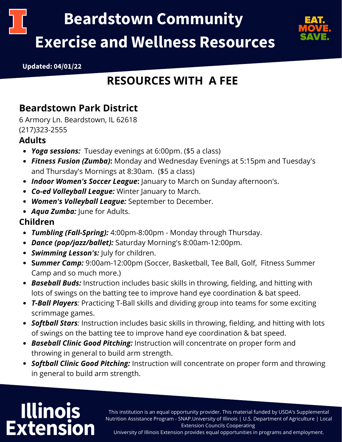



**Updated: 04/01/22**

## **RESOURCES WITH A FEE**

#### **Beardstown Park District**

6 Armory Ln. Beardstown, IL 62618 (217)323-2555

#### **Adults**

- *Yoga sessions:* Tuesday evenings at 6:00pm. (\$5 a class)
- *Fitness Fusion (Zumba)***:** Monday and Wednesday Evenings at 5:15pm and Tuesday's and Thursday's Mornings at 8:30am. (\$5 a class)
- *Indoor Women's Soccer League***:** January to March on Sunday afternoon's.
- *Co-ed Volleyball League:* Winter January to March.
- *Women's Volleyball League:* September to December.
- *Aqua Zumba:* June for Adults.

#### **Children**

- *Tumbling (Fall-Spring):* 4:00pm-8:00pm Monday through Thursday.
- *Dance (pop/jazz/ballet):* Saturday Morning's 8:00am-12:00pm.
- *Swimming Lesson's:* July for children.
- **S***ummer Camp:* 9:00am-12:00pm (Soccer, Basketball, Tee Ball, Golf, Fitness Summer Camp and so much more.)
- *Baseball Buds:* Instruction includes basic skills in throwing, fielding, and hitting with lots of swings on the batting tee to improve hand eye coordination & bat speed.
- *T-Ball Players:* Practicing T-Ball skills and dividing group into teams for some exciting scrimmage games.
- *Softball Stars:* Instruction includes basic skills in throwing, fielding, and hitting with lots of swings on the batting tee to improve hand eye coordination & bat speed.
- *Baseball Clinic Good Pitching:* Instruction will concentrate on proper form and throwing in general to build arm strength.
- *Softball Clinic Good Pitching:* Instruction will concentrate on proper form and throwing in general to build arm strength.

# **Illinois Extension**

This institution is an equal opportunity provider. This material funded by USDA's Supplemental Nutrition Assistance Program - SNAP.University of Illinois | U.S. Department of Agriculture | Local Extension Councils Cooperating

University of Illinois Extension provides equal opportunities in programs and employment.